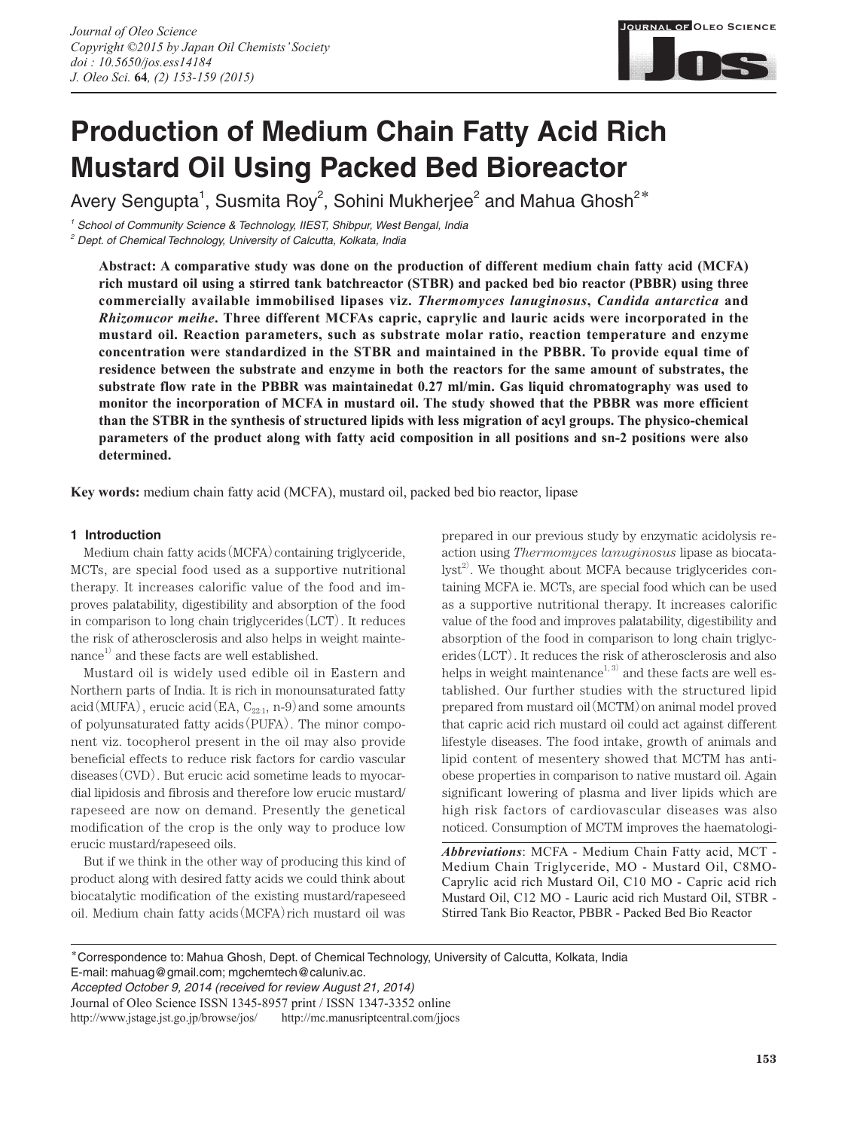

# **Production of Medium Chain Fatty Acid Rich Mustard Oil Using Packed Bed Bioreactor**

Avery Sengupta<sup>1</sup>, Susmita Roy<sup>2</sup>, Sohini Mukherjee<sup>2</sup> and Mahua Ghosh<sup>2\*</sup>

*1 School of Community Science & Technology, IIEST, Shibpur, West Bengal, India 2 Dept. of Chemical Technology, University of Calcutta, Kolkata, India*

**Abstract: A comparative study was done on the production of different medium chain fatty acid (MCFA) rich mustard oil using a stirred tank batchreactor (STBR) and packed bed bio reactor (PBBR) using three commercially available immobilised lipases viz.** *Thermomyces lanuginosus***,** *Candida antarctica* **and**  *Rhizomucor meihe***. Three different MCFAs capric, caprylic and lauric acids were incorporated in the mustard oil. Reaction parameters, such as substrate molar ratio, reaction temperature and enzyme concentration were standardized in the STBR and maintained in the PBBR. To provide equal time of residence between the substrate and enzyme in both the reactors for the same amount of substrates, the substrate flow rate in the PBBR was maintainedat 0.27 ml/min. Gas liquid chromatography was used to monitor the incorporation of MCFA in mustard oil. The study showed that the PBBR was more efficient than the STBR in the synthesis of structured lipids with less migration of acyl groups. The physico-chemical parameters of the product along with fatty acid composition in all positions and sn-2 positions were also determined.**

**Key words:** medium chain fatty acid (MCFA), mustard oil, packed bed bio reactor, lipase

## **1 Introduction**

Medium chain fatty acids (MCFA) containing triglyceride, MCTs, are special food used as a supportive nutritional therapy. It increases calorific value of the food and improves palatability, digestibility and absorption of the food in comparison to long chain triglycerides(LCT). It reduces the risk of atherosclerosis and also helps in weight mainte- $\alpha$  and these facts are well established.

Mustard oil is widely used edible oil in Eastern and Northern parts of India. It is rich in monounsaturated fatty acid(MUFA), erucic acid(EA,  $C_{22:1}$ , n-9) and some amounts of polyunsaturated fatty acids(PUFA). The minor component viz. tocopherol present in the oil may also provide beneficial effects to reduce risk factors for cardio vascular diseases(CVD). But erucic acid sometime leads to myocardial lipidosis and fibrosis and therefore low erucic mustard/ rapeseed are now on demand. Presently the genetical modification of the crop is the only way to produce low erucic mustard/rapeseed oils.

But if we think in the other way of producing this kind of product along with desired fatty acids we could think about biocatalytic modification of the existing mustard/rapeseed oil. Medium chain fatty acids(MCFA)rich mustard oil was prepared in our previous study by enzymatic acidolysis reaction using *Thermomyces lanuginosus* lipase as biocatalyst<sup>2)</sup>. We thought about MCFA because triglycerides containing MCFA ie. MCTs, are special food which can be used as a supportive nutritional therapy. It increases calorific value of the food and improves palatability, digestibility and absorption of the food in comparison to long chain triglycerides(LCT). It reduces the risk of atherosclerosis and also helps in weight maintenance $^{1,\,3)}$  and these facts are well established. Our further studies with the structured lipid prepared from mustard oil(MCTM)on animal model proved that capric acid rich mustard oil could act against different lifestyle diseases. The food intake, growth of animals and lipid content of mesentery showed that MCTM has antiobese properties in comparison to native mustard oil. Again significant lowering of plasma and liver lipids which are high risk factors of cardiovascular diseases was also noticed. Consumption of MCTM improves the haematologi-

*Abbreviations*: MCFA - Medium Chain Fatty acid, MCT - Medium Chain Triglyceride, MO - Mustard Oil, C8MO-Caprylic acid rich Mustard Oil, C10 MO - Capric acid rich Mustard Oil, C12 MO - Lauric acid rich Mustard Oil, STBR - Stirred Tank Bio Reactor, PBBR - Packed Bed Bio Reactor

**\***Correspondence to: Mahua Ghosh, Dept. of Chemical Technology, University of Calcutta, Kolkata, India E-mail: mahuag@gmail.com; mgchemtech@caluniv.ac.

*Accepted October 9, 2014 (received for review August 21, 2014)* Journal of Oleo Science ISSN 1345-8957 print / ISSN 1347-3352 online http://www.jstage.jst.go.jp/browse/jos/ http://mc.manusriptcentral.com/jjocs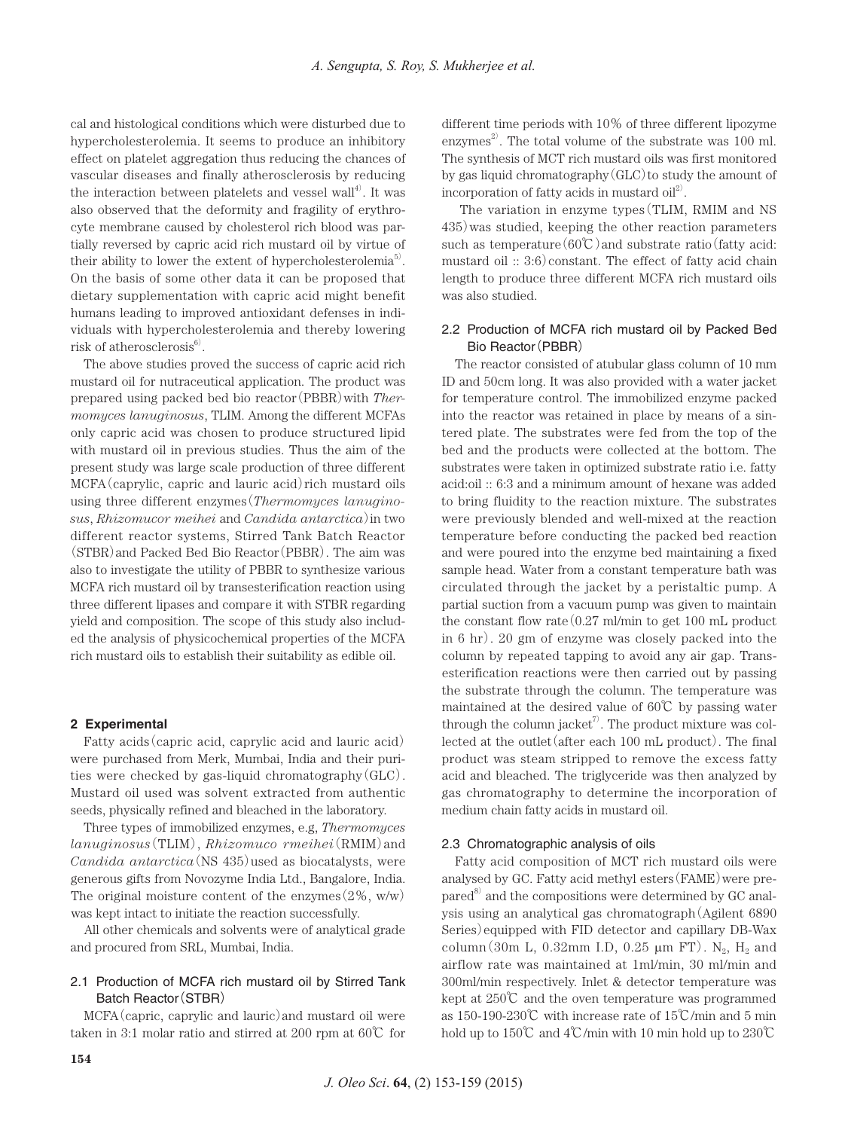cal and histological conditions which were disturbed due to hypercholesterolemia. It seems to produce an inhibitory effect on platelet aggregation thus reducing the chances of vascular diseases and finally atherosclerosis by reducing the interaction between platelets and vessel wall<sup>4)</sup>. It was also observed that the deformity and fragility of erythrocyte membrane caused by cholesterol rich blood was partially reversed by capric acid rich mustard oil by virtue of their ability to lower the extent of hypercholesterolemia<sup>5</sup>. On the basis of some other data it can be proposed that dietary supplementation with capric acid might benefit humans leading to improved antioxidant defenses in individuals with hypercholesterolemia and thereby lowering risk of atherosclerosis $^{6)}$ .

The above studies proved the success of capric acid rich mustard oil for nutraceutical application. The product was prepared using packed bed bio reactor(PBBR)with *Thermomyces lanuginosus*, TLIM. Among the different MCFAs only capric acid was chosen to produce structured lipid with mustard oil in previous studies. Thus the aim of the present study was large scale production of three different MCFA(caprylic, capric and lauric acid)rich mustard oils using three different enzymes(*Thermomyces lanuginosus*, *Rhizomucor meihei* and *Candida antarctica*)in two different reactor systems, Stirred Tank Batch Reactor (STBR)and Packed Bed Bio Reactor(PBBR). The aim was also to investigate the utility of PBBR to synthesize various MCFA rich mustard oil by transesterification reaction using three different lipases and compare it with STBR regarding yield and composition. The scope of this study also included the analysis of physicochemical properties of the MCFA rich mustard oils to establish their suitability as edible oil.

#### **2 Experimental**

Fatty acids(capric acid, caprylic acid and lauric acid) were purchased from Merk, Mumbai, India and their purities were checked by gas-liquid chromatography $(GLC)$ . Mustard oil used was solvent extracted from authentic seeds, physically refined and bleached in the laboratory.

Three types of immobilized enzymes, e.g, *Thermomyces lanuginosus*(TLIM), *Rhizomuco rmeihei*(RMIM)and *Candida antarctica* (NS 435) used as biocatalysts, were generous gifts from Novozyme India Ltd., Bangalore, India. The original moisture content of the enzymes $(2\%, w/w)$ was kept intact to initiate the reaction successfully.

All other chemicals and solvents were of analytical grade and procured from SRL, Mumbai, India.

# 2.1 Production of MCFA rich mustard oil by Stirred Tank Batch Reactor(STBR)

MCFA(capric, caprylic and lauric)and mustard oil were taken in 3:1 molar ratio and stirred at 200 rpm at 60℃ for different time periods with 10% of three different lipozyme enzymes<sup>2</sup>. The total volume of the substrate was 100 ml. The synthesis of MCT rich mustard oils was first monitored by gas liquid chromatography  $(GLC)$  to study the amount of incorporation of fatty acids in mustard  $\text{oil}^2$ .

 The variation in enzyme types(TLIM, RMIM and NS 435)was studied, keeping the other reaction parameters such as temperature( $60^{\circ}\text{C}$ ) and substrate ratio(fatty acid: mustard oil  $\therefore$  3:6) constant. The effect of fatty acid chain length to produce three different MCFA rich mustard oils was also studied.

# 2.2 Production of MCFA rich mustard oil by Packed Bed Bio Reactor(PBBR)

The reactor consisted of atubular glass column of 10 mm ID and 50cm long. It was also provided with a water jacket for temperature control. The immobilized enzyme packed into the reactor was retained in place by means of a sintered plate. The substrates were fed from the top of the bed and the products were collected at the bottom. The substrates were taken in optimized substrate ratio i.e. fatty acid:oil :: 6:3 and a minimum amount of hexane was added to bring fluidity to the reaction mixture. The substrates were previously blended and well-mixed at the reaction temperature before conducting the packed bed reaction and were poured into the enzyme bed maintaining a fixed sample head. Water from a constant temperature bath was circulated through the jacket by a peristaltic pump. A partial suction from a vacuum pump was given to maintain the constant flow rate(0.27 ml/min to get 100 mL product in 6 hr). 20 gm of enzyme was closely packed into the column by repeated tapping to avoid any air gap. Transesterification reactions were then carried out by passing the substrate through the column. The temperature was maintained at the desired value of 60℃ by passing water through the column jacket<sup>7</sup>. The product mixture was collected at the outlet(after each 100 mL product). The final product was steam stripped to remove the excess fatty acid and bleached. The triglyceride was then analyzed by gas chromatography to determine the incorporation of medium chain fatty acids in mustard oil.

#### 2.3 Chromatographic analysis of oils

Fatty acid composition of MCT rich mustard oils were analysed by GC. Fatty acid methyl esters(FAME)were prepared<sup>8)</sup> and the compositions were determined by GC analysis using an analytical gas chromatograph(Agilent 6890 Series)equipped with FID detector and capillary DB-Wax column(30m L, 0.32mm I.D, 0.25  $\mu$ m FT). N<sub>2</sub>, H<sub>2</sub> and airflow rate was maintained at 1ml/min, 30 ml/min and 300ml/min respectively. Inlet & detector temperature was kept at 250℃ and the oven temperature was programmed as 150-190-230℃ with increase rate of 15℃/min and 5 min hold up to 150℃ and 4℃/min with 10 min hold up to 230℃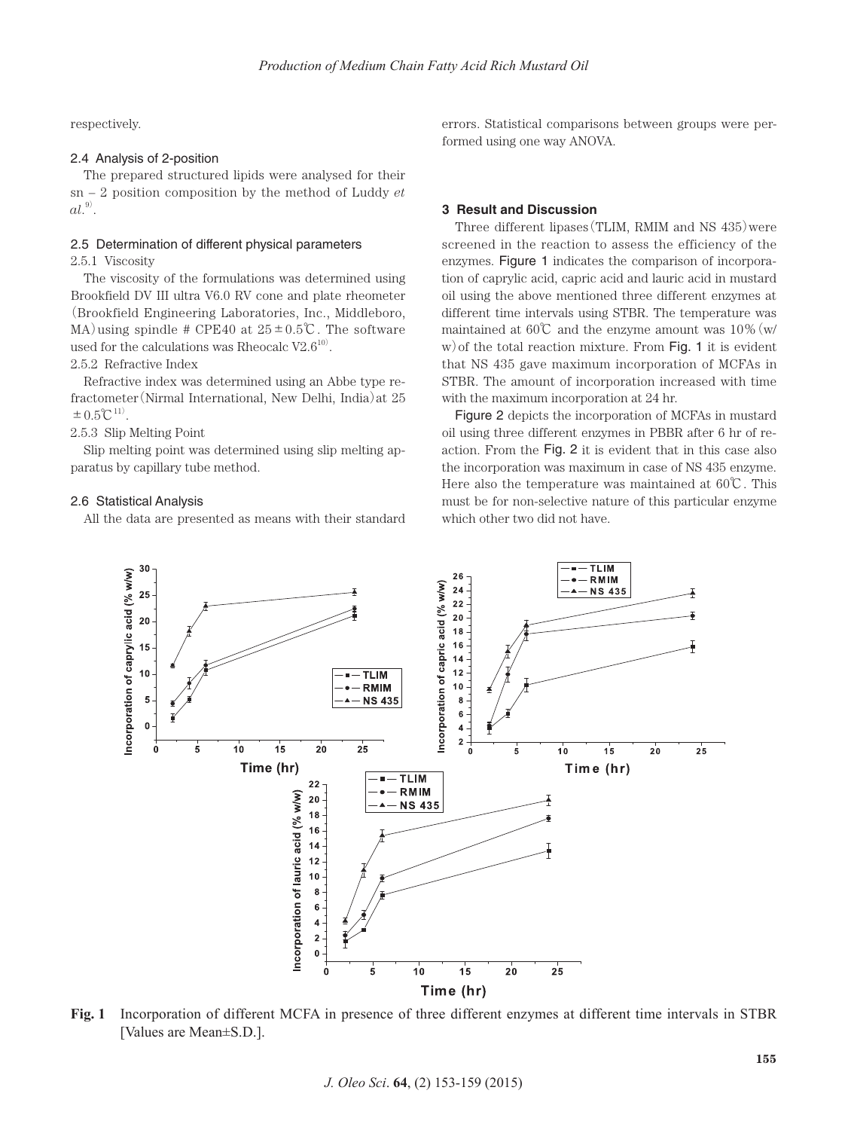respectively.

## 2.4 Analysis of 2-position

The prepared structured lipids were analysed for their sn – 2 position composition by the method of Luddy *et*   $al.^{9)}$ .

#### 2.5 Determination of different physical parameters

2.5.1 Viscosity

The viscosity of the formulations was determined using Brookfield DV III ultra V6.0 RV cone and plate rheometer (Brookfield Engineering Laboratories, Inc., Middleboro, MA) using spindle # CPE40 at  $25 \pm 0.5$ °C. The software used for the calculations was Rheocalc  $V2.6^{10}$ .

2.5.2 Refractive Index

Refractive index was determined using an Abbe type refractometer(Nirmal International, New Delhi, India)at 25  $\pm 0.5^{\circ}C^{11}$ .

2.5.3 Slip Melting Point

Slip melting point was determined using slip melting apparatus by capillary tube method.

#### 2.6 Statistical Analysis

All the data are presented as means with their standard

errors. Statistical comparisons between groups were performed using one way ANOVA.

#### **3 Result and Discussion**

Three different lipases (TLIM, RMIM and NS 435) were screened in the reaction to assess the efficiency of the enzymes. Figure 1 indicates the comparison of incorporation of caprylic acid, capric acid and lauric acid in mustard oil using the above mentioned three different enzymes at different time intervals using STBR. The temperature was maintained at  $60^{\circ}$ C and the enzyme amount was  $10\%$  (w/ w) of the total reaction mixture. From Fig. 1 it is evident that NS 435 gave maximum incorporation of MCFAs in STBR. The amount of incorporation increased with time with the maximum incorporation at 24 hr.

Figure 2 depicts the incorporation of MCFAs in mustard oil using three different enzymes in PBBR after 6 hr of reaction. From the Fig. 2 it is evident that in this case also the incorporation was maximum in case of NS 435 enzyme. Here also the temperature was maintained at 60℃. This must be for non-selective nature of this particular enzyme which other two did not have.



**Fig. 1** Incorporation of different MCFA in presence of three different enzymes at different time intervals in STBR [Values are Mean±S.D.].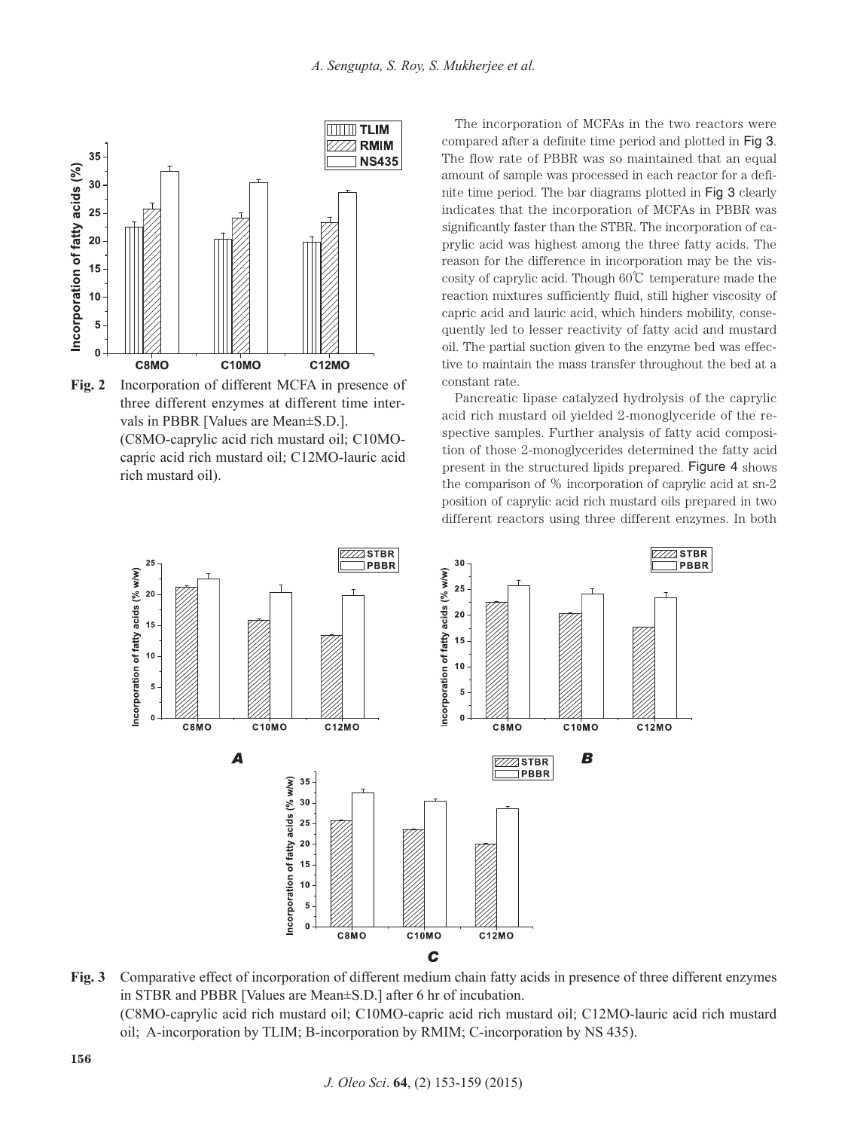

**Fig. 2** Incorporation of different MCFA in presence of three different enzymes at different time intervals in PBBR [Values are Mean±S.D.]. (C8MO-caprylic acid rich mustard oil; C10MOcapric acid rich mustard oil; C12MO-lauric acid rich mustard oil).

The incorporation of MCFAs in the two reactors were compared after a definite time period and plotted in Fig 3. The flow rate of PBBR was so maintained that an equal amount of sample was processed in each reactor for a definite time period. The bar diagrams plotted in Fig 3 clearly indicates that the incorporation of MCFAs in PBBR was significantly faster than the STBR. The incorporation of caprylic acid was highest among the three fatty acids. The reason for the difference in incorporation may be the viscosity of caprylic acid. Though 60℃ temperature made the reaction mixtures sufficiently fluid, still higher viscosity of capric acid and lauric acid, which hinders mobility, consequently led to lesser reactivity of fatty acid and mustard oil. The partial suction given to the enzyme bed was effective to maintain the mass transfer throughout the bed at a constant rate.

Pancreatic lipase catalyzed hydrolysis of the caprylic acid rich mustard oil yielded 2-monoglyceride of the respective samples. Further analysis of fatty acid composition of those 2-monoglycerides determined the fatty acid present in the structured lipids prepared. Figure 4 shows the comparison of % incorporation of caprylic acid at sn-2 position of caprylic acid rich mustard oils prepared in two different reactors using three different enzymes. In both



**Fig. 3** Comparative effect of incorporation of different medium chain fatty acids in presence of three different enzymes in STBR and PBBR [Values are Mean±S.D.] after 6 hr of incubation. (C8MO-caprylic acid rich mustard oil; C10MO-capric acid rich mustard oil; C12MO-lauric acid rich mustard oil; A-incorporation by TLIM; B-incorporation by RMIM; C-incorporation by NS 435).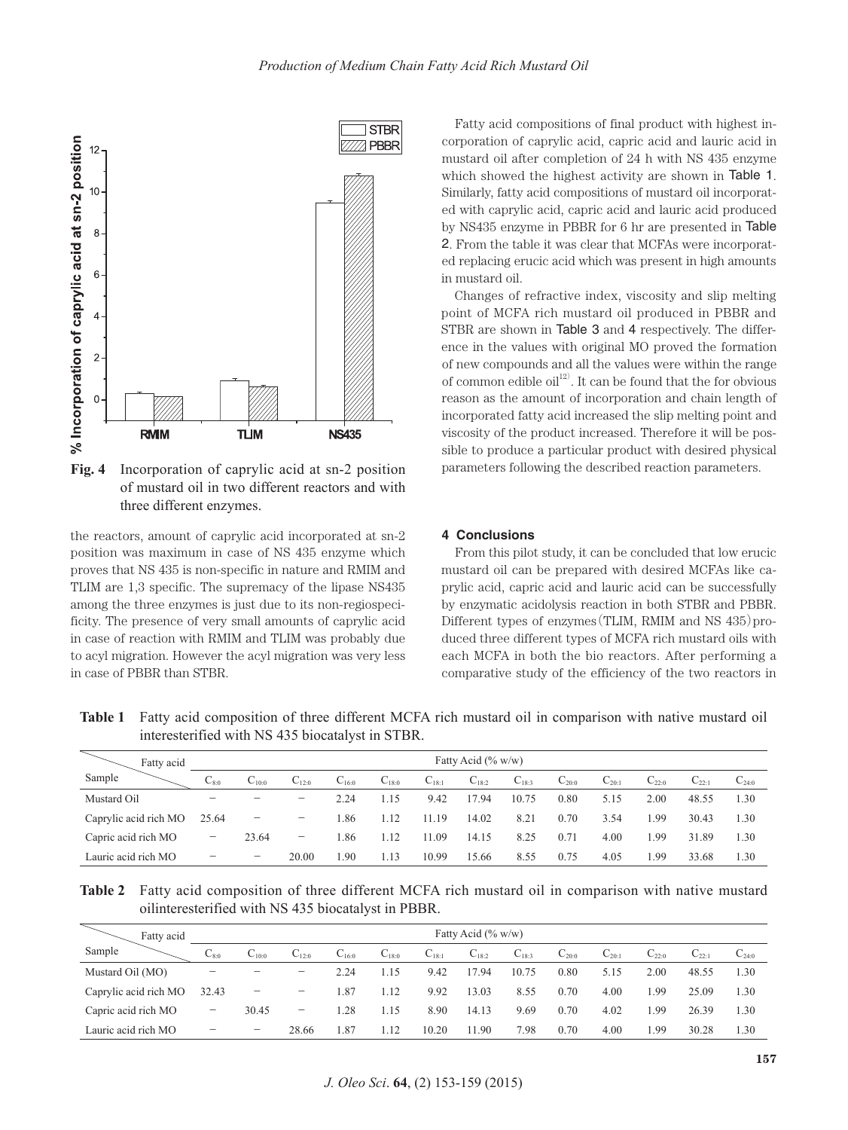

**Fig. 4** Incorporation of caprylic acid at sn-2 position of mustard oil in two different reactors and with three different enzymes.

the reactors, amount of caprylic acid incorporated at sn-2 position was maximum in case of NS 435 enzyme which proves that NS 435 is non-specific in nature and RMIM and TLIM are 1,3 specific. The supremacy of the lipase NS435 among the three enzymes is just due to its non-regiospecificity. The presence of very small amounts of caprylic acid in case of reaction with RMIM and TLIM was probably due to acyl migration. However the acyl migration was very less in case of PBBR than STBR.

Fatty acid compositions of final product with highest incorporation of caprylic acid, capric acid and lauric acid in mustard oil after completion of 24 h with NS 435 enzyme which showed the highest activity are shown in Table 1. Similarly, fatty acid compositions of mustard oil incorporated with caprylic acid, capric acid and lauric acid produced by NS435 enzyme in PBBR for 6 hr are presented in Table 2. From the table it was clear that MCFAs were incorporated replacing erucic acid which was present in high amounts in mustard oil.

Changes of refractive index, viscosity and slip melting point of MCFA rich mustard oil produced in PBBR and STBR are shown in Table 3 and 4 respectively. The difference in the values with original MO proved the formation of new compounds and all the values were within the range of common edible  $\text{oil}^{12}$ . It can be found that the for obvious reason as the amount of incorporation and chain length of incorporated fatty acid increased the slip melting point and viscosity of the product increased. Therefore it will be possible to produce a particular product with desired physical parameters following the described reaction parameters.

#### **4 Conclusions**

From this pilot study, it can be concluded that low erucic mustard oil can be prepared with desired MCFAs like caprylic acid, capric acid and lauric acid can be successfully by enzymatic acidolysis reaction in both STBR and PBBR. Different types of enzymes (TLIM, RMIM and NS  $435$ ) produced three different types of MCFA rich mustard oils with each MCFA in both the bio reactors. After performing a comparative study of the efficiency of the two reactors in

| Fatty acid            |                   |                                         |            |            |            |            | Fatty Acid $(\% w/w)$ |            |            |            |                     |            |            |
|-----------------------|-------------------|-----------------------------------------|------------|------------|------------|------------|-----------------------|------------|------------|------------|---------------------|------------|------------|
| Sample                | $C_{8:0}$         | $C_{10:0}$                              | $C_{12:0}$ | $C_{16:0}$ | $C_{18:0}$ | $C_{18:1}$ | $C_{18:2}$            | $C_{18:3}$ | $C_{20:0}$ | $C_{20:1}$ | $\mathrm{C}_{22:0}$ | $C_{22:1}$ | $C_{24:0}$ |
| Mustard Oil           |                   | $\qquad \qquad \  \  \, -\qquad \qquad$ | —          | 2.24       | 1.15       | 9.42       | 17.94                 | 10.75      | 0.80       | 5.15       | 2.00                | 48.55      | 1.30       |
| Caprylic acid rich MO | 25.64             | $\qquad \qquad -$                       | —          | 1.86       | 1.12       | 1.19       | 14.02                 | 8.21       | 0.70       | 3.54       | .99                 | 30.43      | 1.30       |
| Capric acid rich MO   | $\qquad \qquad -$ | 23.64                                   | —          | 1.86       | 1.12       | 1.09       | 14.15                 | 8.25       | 0.71       | 4.00       | 1.99                | 31.89      | 1.30       |
| Lauric acid rich MO   |                   | $\qquad \qquad -$                       | 20.00      | .90        | 1.13       | 10.99      | 15.66                 | 8.55       | 0.75       | 4.05       | 1.99                | 33.68      | 1.30       |

**Table 1** Fatty acid composition of three different MCFA rich mustard oil in comparison with native mustard oil interesterified with NS 435 biocatalyst in STBR.

|  | Table 2 Fatty acid composition of three different MCFA rich mustard oil in comparison with native mustard |  |  |  |  |  |
|--|-----------------------------------------------------------------------------------------------------------|--|--|--|--|--|
|  | oilinteresterified with NS 435 biocatalyst in PBBR.                                                       |  |  |  |  |  |

| Fatty acid            | Fatty Acid $(\% w/w)$ |                          |                          |            |            |            |            |            |                     |            |                     |            |            |
|-----------------------|-----------------------|--------------------------|--------------------------|------------|------------|------------|------------|------------|---------------------|------------|---------------------|------------|------------|
| Sample                | $\mathrm{C}_{8:0}$    | $C_{10:0}$               | $C_{12:0}$               | $C_{16:0}$ | $C_{18:0}$ | $C_{18:1}$ | $C_{18:2}$ | $C_{18:3}$ | $\mathrm{C}_{20:0}$ | $C_{20:1}$ | $\mathrm{C}_{22:0}$ | $C_{22:1}$ | $C_{24:0}$ |
| Mustard Oil (MO)      | —                     |                          | $\qquad \qquad -$        | 2.24       | l.15       | 9.42       | 17.94      | 10.75      | 0.80                | 5.15       | 2.00                | 48.55      | 1.30       |
| Caprylic acid rich MO | 32.43                 | $\overline{\phantom{m}}$ | $\overline{\phantom{0}}$ | l.87       | 1.12       | 9.92       | 13.03      | 8.55       | 0.70                | 4.00       | .99                 | 25.09      | 1.30       |
| Capric acid rich MO   | -                     | 30.45                    | -                        | 1.28       | 1.15       | 8.90       | 14.13      | 9.69       | 0.70                | 4.02       | .99                 | 26.39      | 1.30       |
| Lauric acid rich MO   | —                     | $\overline{\phantom{0}}$ | 28.66                    | .87        | l.12       | 10.20      | 11.90      | 7.98       | 0.70                | 4.00       | .99                 | 30.28      | 1.30       |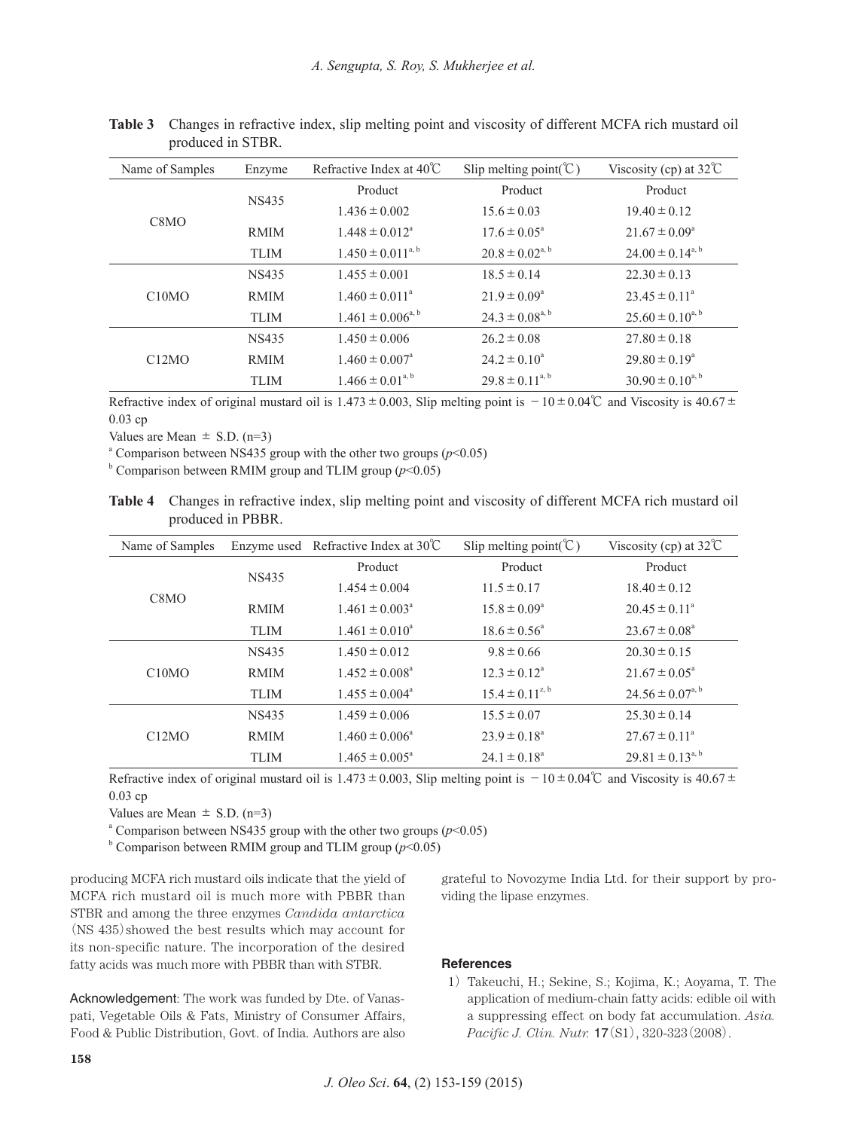| Name of Samples<br>Enzyme     |                            | Refractive Index at $40^{\circ}$ C | Slip melting point( $\mathcal{C}$ ) | Viscosity (cp) at $32^{\circ}$ C |  |  |
|-------------------------------|----------------------------|------------------------------------|-------------------------------------|----------------------------------|--|--|
|                               | NS435                      | Product                            | Product                             | Product                          |  |  |
| C <sub>8</sub> M <sub>O</sub> |                            | $1.436 \pm 0.002$                  | $15.6 \pm 0.03$                     | $19.40 \pm 0.12$                 |  |  |
|                               | <b>RMIM</b>                | $1.448 \pm 0.012^{\circ}$          | $17.6 \pm 0.05^{\circ}$             | $21.67 \pm 0.09^{\circ}$         |  |  |
|                               | <b>TLIM</b>                | $1.450 \pm 0.011^{a, b}$           | $20.8 \pm 0.02^{a, b}$              | $24.00 \pm 0.14^{a, b}$          |  |  |
|                               | <b>NS435</b>               | $1.455 \pm 0.001$                  | $18.5 \pm 0.14$                     | $22.30 \pm 0.13$                 |  |  |
| C10MO                         | <b>RMIM</b><br><b>TLIM</b> | $1.460 \pm 0.011^a$                | $21.9 \pm 0.09^{\circ}$             | $23.45 \pm 0.11^{\circ}$         |  |  |
|                               |                            | $1.461 \pm 0.006^{a, b}$           | $24.3 \pm 0.08^{a, b}$              | $25.60 \pm 0.10^{a, b}$          |  |  |
|                               | <b>NS435</b>               | $1.450 \pm 0.006$                  | $26.2 \pm 0.08$                     | $27.80 \pm 0.18$                 |  |  |
| C12MO                         | <b>RMIM</b>                | $1.460 \pm 0.007$ <sup>a</sup>     | $24.2 \pm 0.10^a$                   | $29.80 \pm 0.19^{\circ}$         |  |  |
|                               | <b>TLIM</b>                | $1.466 \pm 0.01^{a, b}$            | $29.8 \pm 0.11^{a, b}$              | $30.90 \pm 0.10^{a, b}$          |  |  |

**Table 3** Changes in refractive index, slip melting point and viscosity of different MCFA rich mustard oil produced in STBR.

Refractive index of original mustard oil is  $1.473 \pm 0.003$ , Slip melting point is  $-10 \pm 0.04$ °C and Viscosity is  $40.67 \pm 0.04$ °C 0.03 cp

Values are Mean  $\pm$  S.D. (n=3)

<sup>a</sup> Comparison between NS435 group with the other two groups ( $p$ <0.05)

 $b$  Comparison between RMIM group and TLIM group ( $p$ <0.05)

**Table 4** Changes in refractive index, slip melting point and viscosity of different MCFA rich mustard oil produced in PBBR.

| Name of Samples   |              | Enzyme used Refractive Index at $30^{\circ}$ C | Slip melting point( $\mathcal{C}$ ) | Viscosity (cp) at $32^{\circ}$ C |  |  |
|-------------------|--------------|------------------------------------------------|-------------------------------------|----------------------------------|--|--|
|                   |              | Product                                        | Product                             | Product                          |  |  |
|                   | <b>NS435</b> | $1.454 \pm 0.004$                              | $11.5 \pm 0.17$                     | $18.40 \pm 0.12$                 |  |  |
| C <sub>8</sub> MO | <b>RMIM</b>  | $1.461 \pm 0.003^{\circ}$                      | $15.8 \pm 0.09^{\circ}$             | $20.45 \pm 0.11^{\circ}$         |  |  |
|                   | <b>TLIM</b>  | $1.461 \pm 0.010^4$                            | $18.6 \pm 0.56^{\circ}$             | $23.67 \pm 0.08^{\circ}$         |  |  |
|                   | <b>NS435</b> | $1.450 \pm 0.012$                              | $9.8 \pm 0.66$                      | $20.30 \pm 0.15$                 |  |  |
| C10MO             | <b>RMIM</b>  | $1.452 \pm 0.008^a$                            | $12.3 \pm 0.12^{\circ}$             | $21.67 \pm 0.05^{\circ}$         |  |  |
|                   | <b>TLIM</b>  | $1.455 \pm 0.004^{\circ}$                      | $15.4 \pm 0.11^{z, b}$              | $24.56 \pm 0.07^{a, b}$          |  |  |
|                   | <b>NS435</b> | $1.459 \pm 0.006$                              | $15.5 \pm 0.07$                     | $25.30 \pm 0.14$                 |  |  |
| C12MO             | <b>RMIM</b>  | $1.460 \pm 0.006^{\circ}$                      | $23.9 \pm 0.18^{\circ}$             | $27.67 \pm 0.11^{\circ}$         |  |  |
|                   | <b>TLIM</b>  | $1.465 \pm 0.005^{\circ}$                      | $24.1 \pm 0.18^{\circ}$             | $29.81 \pm 0.13^{a,b}$           |  |  |

Refractive index of original mustard oil is  $1.473 \pm 0.003$ , Slip melting point is  $-10 \pm 0.04\degree$  and Viscosity is  $40.67 \pm 0.04\degree$ 0.03 cp

Values are Mean  $\pm$  S.D. (n=3)

<sup>a</sup> Comparison between NS435 group with the other two groups ( $p$ <0.05)

 $b$  Comparison between RMIM group and TLIM group ( $p$ <0.05)

producing MCFA rich mustard oils indicate that the yield of MCFA rich mustard oil is much more with PBBR than STBR and among the three enzymes *Candida antarctica* (NS 435)showed the best results which may account for its non-specific nature. The incorporation of the desired fatty acids was much more with PBBR than with STBR.

Acknowledgement: The work was funded by Dte. of Vanaspati, Vegetable Oils & Fats, Ministry of Consumer Affairs, Food & Public Distribution, Govt. of India. Authors are also

grateful to Novozyme India Ltd. for their support by providing the lipase enzymes.

# **References**

1) Takeuchi, H.; Sekine, S.; Kojima, K.; Aoyama, T. The application of medium-chain fatty acids: edible oil with a suppressing effect on body fat accumulation. *Asia. Pacific J. Clin. Nutr.* 17(S1), 320-323(2008).